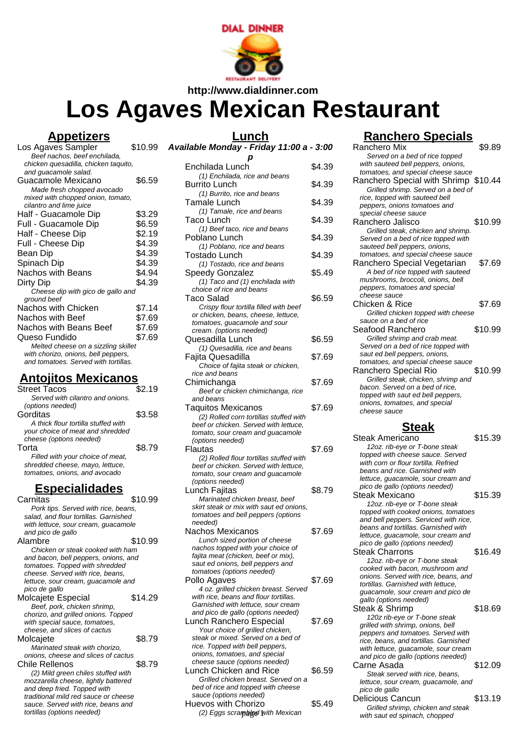

**http://www.dialdinner.com**

# **Los Agaves Mexican Restaurant**

## **Appetizers**

| Los Agaves Sampler                   | \$10.99 |
|--------------------------------------|---------|
| Beef nachos, beef enchilada,         |         |
| chicken quesadilla, chicken taquito, |         |
| and guacamole salad.                 |         |
| Guacamole Mexicano                   | \$6.59  |
| Made fresh chopped avocado           |         |
| mixed with chopped onion, tomato,    |         |
| cilantro and lime juice              |         |
| Half - Guacamole Dip                 | \$3.29  |
| Full - Guacamole Dip                 | \$6.59  |
| Half - Cheese Dip                    | \$2.19  |
| Full - Cheese Dip                    | \$4.39  |
| Bean Dip                             | \$4.39  |
| Spinach Dip                          | \$4.39  |
| Nachos with Beans                    | \$4.94  |
| Dirty Dip                            | \$4.39  |
| Cheese dip with gico de gallo and    |         |
| ground beef                          |         |
| Nachos with Chicken                  | \$7.14  |
| Nachos with Beef                     | \$7.69  |
| Nachos with Beans Beef               | \$7.69  |
| Queso Fundido                        | \$7.69  |
| Melted cheese on a sizzling skillet  |         |
| with chorizo, onions, bell peppers,  |         |
| and tomatoes. Served with tortillas. |         |
|                                      |         |

## **Antojitos Mexicanos**

| <b>Street Tacos</b>                   | \$2.19  |
|---------------------------------------|---------|
| Served with cilantro and onions.      |         |
| (options needed)                      |         |
| Gorditas                              | \$3.58  |
| A thick flour tortilla stuffed with   |         |
| your choice of meat and shredded      |         |
| cheese (options needed)               |         |
| Torta                                 | \$8.79  |
| Filled with your choice of meat,      |         |
| shredded cheese, mayo, lettuce,       |         |
| tomatoes, onions, and avocado         |         |
|                                       |         |
| <u>Especialidades</u>                 |         |
| Carnitas                              | \$10.99 |
| Pork tips. Served with rice, beans,   |         |
| salad, and flour tortillas. Garnished |         |
| with lettuce, sour cream, guacamole   |         |
| and pico de gallo                     |         |
| Alambre                               | \$10.99 |
| Chicken or steak cooked with ham      |         |
| and bacon, bell peppers, onions, and  |         |
| tomatoes. Topped with shredded        |         |
| cheese. Served with rice, beans,      |         |
| lettuce, sour cream, quacamole and    |         |

| pico de gallo                        |         |
|--------------------------------------|---------|
| Molcajete Especial                   | \$14.29 |
| Beef, pork, chicken shrimp,          |         |
| chorizo, and grilled onions. Topped  |         |
| with special sauce, tomatoes,        |         |
| cheese, and slices of cactus         |         |
| Molcajete                            | \$8.79  |
| Marinated steak with chorizo,        |         |
| onions, cheese and slices of cactus  |         |
| Chile Rellenos                       | \$8.79  |
| (2) Mild green chiles stuffed with   |         |
| mozzarella cheese, lightly battered  |         |
| and deep fried. Topped with          |         |
| traditional mild red sauce or cheese |         |
| sauce. Served with rice, beans and   |         |
| tortillas (options needed)           |         |

## **Lunch**

| 9 Available Monday - Friday 11:00 a - 3:00 |  |
|--------------------------------------------|--|
|--------------------------------------------|--|

| p                                                                                                                                                                                                          |        |
|------------------------------------------------------------------------------------------------------------------------------------------------------------------------------------------------------------|--------|
| Enchilada Lunch                                                                                                                                                                                            | \$4.39 |
| (1) Enchilada, rice and beans<br><b>Burrito Lunch</b>                                                                                                                                                      | \$4.39 |
| (1) Burrito, rice and beans<br>Tamale Lunch                                                                                                                                                                | \$4.39 |
| (1) Tamale, rice and beans<br>Taco Lunch                                                                                                                                                                   | \$4.39 |
| (1) Beef taco, rice and beans                                                                                                                                                                              |        |
| Poblano Lunch<br>(1) Poblano, rice and beans                                                                                                                                                               | \$4.39 |
| Tostado Lunch<br>(1) Tostado, rice and beans                                                                                                                                                               | \$4.39 |
| Speedy Gonzalez<br>(1) Taco and (1) enchilada with<br>choice of rice and beans                                                                                                                             | \$5.49 |
| Taco Salad                                                                                                                                                                                                 | \$6.59 |
| Crispy flour tortilla filled with beef<br>or chicken, beans, cheese, lettuce,<br>tomatoes, guacamole and sour                                                                                              |        |
| cream. (options needed)<br>Quesadilla Lunch                                                                                                                                                                | \$6.59 |
| (1) Quesadilla, rice and beans<br>Fajita Quesadilla                                                                                                                                                        | \$7.69 |
| Choice of fajita steak or chicken,<br>rice and beans                                                                                                                                                       |        |
| Chimichanga<br>Beef or chicken chimichanga, rice<br>and beans                                                                                                                                              | \$7.69 |
| Taquitos Mexicanos<br>(2) Rolled corn tortillas stuffed with<br>beef or chicken. Served with lettuce,<br>tomato, sour cream and guacamole<br>(options needed)                                              | \$7.69 |
| Flautas<br>(2) Rolled flour tortillas stuffed with<br>beef or chicken. Served with lettuce,<br>tomato, sour cream and guacamole<br>(options needed)                                                        | \$7.69 |
| Lunch Fajitas<br>Marinated chicken breast, beef<br>skirt steak or mix with saut ed onions,<br>tomatoes and bell peppers (options<br>needed)                                                                | \$8.79 |
| Nachos Mexicanos<br>Lunch sized portion of cheese<br>nachos topped with your choice of<br>fajita meat (chicken, beef or mix),<br>saut ed onions, bell peppers and<br>tomatoes (options needed)             | \$7.69 |
| Pollo Agaves<br>4 oz. grilled chicken breast. Served<br>with rice, beans and flour tortillas.<br>Garnished with lettuce, sour cream                                                                        | \$7.69 |
| and pico de gallo (options needed)<br>Lunch Ranchero Especial<br>Your choice of grilled chicken,<br>steak or mixed. Served on a bed of<br>rice. Topped with bell peppers,<br>onions, tomatoes, and special | \$7.69 |
| cheese sauce (options needed)<br>Lunch Chicken and Rice<br>Grilled chicken breast. Served on a<br>bed of rice and topped with cheese                                                                       | \$6.59 |

sauce (options needed)

Huevos with Chorizo  $$5.49$  $(2)$  Eggs scrambled with Mexican

# **Ranchero Specials**

|                                                                        | \$9.89  |
|------------------------------------------------------------------------|---------|
| Served on a bed of rice topped                                         |         |
| with sauteed bell peppers, onions,                                     |         |
| tomatoes, and special cheese sauce                                     |         |
| Ranchero Special with Shrimp \$10.44                                   |         |
| Grilled shrimp. Served on a bed of                                     |         |
| rice, topped with sauteed bell                                         |         |
| peppers, onions tomatoes and                                           |         |
| special cheese sauce                                                   |         |
| Ranchero Jalisco                                                       | \$10.99 |
| Grilled steak, chicken and shrimp.                                     |         |
| Served on a bed of rice topped with                                    |         |
| sauteed bell peppers, onions,                                          |         |
| tomatoes, and special cheese sauce                                     |         |
| Ranchero Special Vegetarian                                            | \$7.69  |
|                                                                        |         |
| A bed of rice topped with sauteed<br>mushrooms, broccoli, onions, bell |         |
|                                                                        |         |
| peppers, tomatoes and special<br>cheese sauce                          |         |
|                                                                        |         |
| Chicken & Rice                                                         | \$7.69  |
| Grilled chicken topped with cheese                                     |         |
| sauce on a bed of rice                                                 |         |
| Seafood Ranchero                                                       | \$10.99 |
| Grilled shrimp and crab meat.                                          |         |
| Served on a bed of rice topped with                                    |         |
| saut ed bell peppers, onions,                                          |         |
| tomatoes, and special cheese sauce                                     |         |
| Ranchero Special Rio                                                   | \$10.99 |
| Grilled steak, chicken, shrimp and                                     |         |
| bacon. Served on a bed of rice,                                        |         |
| topped with saut ed bell peppers,                                      |         |
| onions, tomatoes, and special                                          |         |
|                                                                        |         |
| cheese sauce                                                           |         |
|                                                                        |         |
| <b>Steak</b>                                                           |         |
| Steak Americano                                                        | \$15.39 |
| 12oz. rib-eye or T-bone steak                                          |         |
| topped with cheese sauce. Served                                       |         |
| with corn or flour tortilla. Refried                                   |         |
| beans and rice. Garnished with                                         |         |
| lettuce, guacamole, sour cream and                                     |         |
| pico de gallo (options needed)                                         |         |
| Steak Mexicano                                                         | \$15.39 |
|                                                                        |         |
| 12oz. rib-eye or T-bone steak<br>topped with cooked onions, tomatoes   |         |
| and bell peppers. Serviced with rice,                                  |         |
| beans and tortillas. Garnished with                                    |         |
| lettuce, guacamole, sour cream and                                     |         |
| pico de gallo (options needed)                                         |         |
| <b>Steak Charrons</b>                                                  | \$16.49 |
|                                                                        |         |
| 12oz. rib-eye or T-bone steak<br>cooked with bacon, mushroom and       |         |
| onions. Served with rice, beans, and                                   |         |
| tortillas. Garnished with lettuce.                                     |         |
| quacamole, sour cream and pico de                                      |         |
| gallo (options needed)                                                 |         |
| Steak & Shrimp                                                         | \$18.69 |

120z rib-eye or T-bone steak grilled with shrimp, onions, bell peppers and tomatoes. Served with rice, beans, and tortillas. Garnished with lettuce, guacamole, sour cream and pico de gallo (options needed) Carne Asada (1999) \$12.09 Steak served with rice, beans, lettuce, sour cream, guacamole, and pico de gallo Delicious Cancun \$13.19

Grilled shrimp, chicken and steak with saut ed spinach, chopped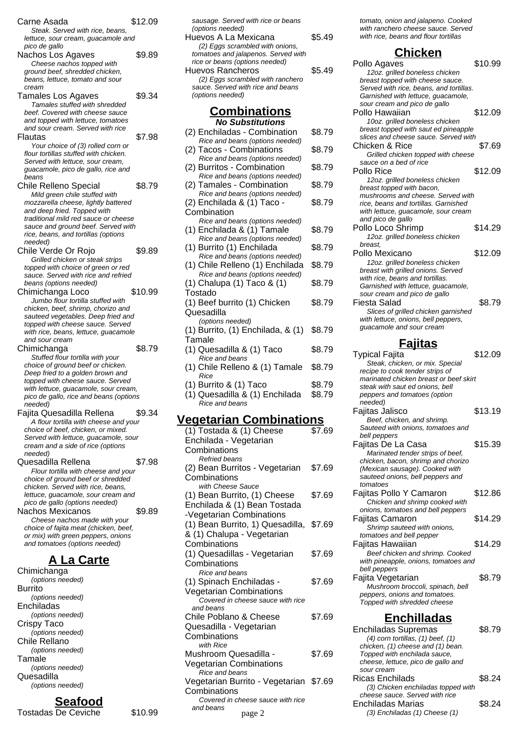| Carne Asada                                                                 | \$12.09 |
|-----------------------------------------------------------------------------|---------|
| Steak. Served with rice, beans,<br>lettuce, sour cream, guacamole and       |         |
| pico de gallo<br>Nachos Los Agaves                                          | \$9.89  |
| Cheese nachos topped with<br>ground beef, shredded chicken,                 |         |
| beans, lettuce, tomato and sour<br>cream                                    |         |
| Tamales Los Agaves<br>Tamales stuffed with shredded                         | \$9.34  |
| beef. Covered with cheese sauce<br>and topped with lettuce, tomatoes        |         |
| and sour cream. Served with rice                                            |         |
| Flautas<br>Your choice of (3) rolled corn or                                | \$7.98  |
| flour tortillas stuffed with chicken.<br>Served with lettuce, sour cream,   |         |
| guacamole, pico de gallo, rice and<br>beans                                 |         |
| <b>Chile Relleno Special</b><br>Mild green chile stuffed with               | \$8.79  |
| mozzarella cheese, lightly battered<br>and deep fried. Topped with          |         |
| traditional mild red sauce or cheese<br>sauce and ground beef. Served with  |         |
| rice, beans, and tortillas (options                                         |         |
| needed)<br>Chile Verde Or Rojo                                              | \$9.89  |
| Grilled chicken or steak strips<br>topped with choice of green or red       |         |
| sauce. Served with rice and refried<br>beans (options needed)               |         |
| Chimichanga Loco<br>Jumbo flour tortilla stuffed with                       | \$10.99 |
| chicken, beef, shrimp, chorizo and                                          |         |
| sauteed vegetables. Deep fried and<br>topped with cheese sauce. Served      |         |
| with rice, beans, lettuce, guacamole<br>and sour cream                      |         |
| Chimichanga<br>Stuffed flour tortilla with your                             | \$8.79  |
| choice of ground beef or chicken.<br>Deep fried to a golden brown and       |         |
| topped with cheese sauce. Served<br>with lettuce, guacamole, sour cream,    |         |
| pico de gallo, rice and beans (options<br>needed)                           |         |
| Fajita Quesadilla Rellena                                                   | \$9.34  |
| A flour tortilla with cheese and your<br>choice of beef, chicken, or mixed. |         |
| Served with lettuce, guacamole, sour<br>cream and a side of rice (options   |         |
| needed)<br>Quesadilla Rellena                                               | \$7.98  |
| Flour tortilla with cheese and your<br>choice of ground beef or shredded    |         |
| chicken. Served with rice, beans,<br>lettuce, guacamole, sour cream and     |         |
| pico de gallo (options needed)<br>Nachos Mexicanos                          | \$9.89  |
| Cheese nachos made with your                                                |         |
| choice of fajita meat (chicken, beef,<br>or mix) with green peppers, onions |         |
| and tomatoes (options needed)                                               |         |
| <b>A La Carte</b><br>Chimichanga                                            |         |
| (options needed)<br>Burrito                                                 |         |
| (options needed)                                                            |         |
| Enchiladas<br>(options needed)                                              |         |
| Crispy Taco<br>(options needed)                                             |         |
| Chile Rellano                                                               |         |
| (options needed)<br>Tamale                                                  |         |

### (options needed) **Seafood**

(options needed)

Quesadilla

Tostadas De Ceviche \$10.99

| sausage. Served with rice or beans<br>(options needed)                |        |
|-----------------------------------------------------------------------|--------|
| Huevos A La Mexicana                                                  | \$5.49 |
| (2) Eggs scrambled with onions,                                       |        |
| tomatoes and jalapenos. Served with<br>rice or beans (options needed) |        |
| Huevos Rancheros                                                      | \$5.49 |
| (2) Eggs scrambled with ranchero                                      |        |
| sauce. Served with rice and beans                                     |        |
| (options needed)                                                      |        |
| <u>Combinations</u>                                                   |        |
| <b>No Substitutions</b>                                               |        |
| (2) Enchiladas - Combination                                          | \$8.79 |
| Rice and beans (options needed)                                       |        |
| (2) Tacos - Combinations                                              | \$8.79 |
| Rice and beans (options needed)<br>(2) Burritos - Combination         | \$8.79 |
| Rice and beans (options needed)                                       |        |
| (2) Tamales - Combination                                             | \$8.79 |
| Rice and beans (options needed)                                       |        |
| (2) Enchilada & (1) Taco -                                            | \$8.79 |
| Combination<br>Rice and beans (options needed)                        |        |
| (1) Enchilada & (1) Tamale                                            | \$8.79 |
| Rice and beans (options needed)                                       |        |
| (1) Burrito (1) Enchilada                                             | \$8.79 |
| Rice and beans (options needed)                                       |        |
| (1) Chile Relleno (1) Enchilada<br>Rice and beans (options needed)    | \$8.79 |
| (1) Chalupa (1) Taco & (1)                                            | \$8.79 |

Tostado

Tamale

Quesadilla

Rice

**Combinations** 

**Combinations** 

**Combinations** 

**Combinations** 

and beans

**Combinations** 

with Rice

**Combinations** 

and beans

Rice and beans (1) Spinach Enchiladas - Vegetarian Combinations

Chile Poblano & Cheese Quesadilla - Vegetarian

Mushroom Quesadilla - Vegetarian Combinations

Rice and beans

Refried beans

with Cheese Sauce (1) Bean Burrito, (1) Cheese Enchilada & (1) Bean Tostada -Vegetarian Combinations

& (1) Chalupa - Vegetarian

(1) Quesadillas - Vegetarian

Covered in cheese sauce with rice

Vegetarian Burrito - Vegetarian \$7.69

Covered in cheese sauce with rice

(1) Beef burrito (1) Chicken

(1) Burrito, (1) Enchilada, & (1)

(1) Quesadilla & (1) Taco \$8.79

(1) Chile Relleno & (1) Tamale \$8.79

(1) Burrito & (1) Taco \$8.79 (1) Quesadilla & (1) Enchilada \$8.79

**Vegetarian Combinations**

(options needed)

Rice and beans

Rice and beans

(1) Tostada & (1) Cheese Enchilada - Vegetarian

(2) Bean Burritos - Vegetarian

(1) Bean Burrito, 1) Quesadilla, \$7.69

\$8.79

\$8.79

 $\overline{$}7.69$ 

\$7.69

\$7.69

\$7.69

\$7.69

\$7.69

tomato, onion and jalapeno. Cooked with ranchero cheese sauce. Served with rice, beans and flour tortillas

# **Chicken**

| <u>UNICKEN</u>                                                         |         |
|------------------------------------------------------------------------|---------|
| Pollo Agaves                                                           | \$10.99 |
| 12oz. grilled boneless chicken                                         |         |
| breast topped with cheese sauce.                                       |         |
| Served with rice, beans, and tortillas.                                |         |
| Garnished with lettuce, guacamole,<br>sour cream and pico de gallo     |         |
| Pollo Hawaiian                                                         | \$12.09 |
| 10oz. grilled boneless chicken                                         |         |
| breast topped with saut ed pineapple                                   |         |
| slices and cheese sauce. Served with                                   |         |
| Chicken & Rice                                                         | \$7.69  |
| Grilled chicken topped with cheese                                     |         |
| sauce on a bed of rice                                                 |         |
| Pollo Rice                                                             | \$12.09 |
| 12oz. grilled boneless chicken                                         |         |
| breast topped with bacon,                                              |         |
| mushrooms and cheese. Served with                                      |         |
| rice, beans and tortillas. Garnished                                   |         |
| with lettuce, guacamole, sour cream                                    |         |
| and pico de gallo                                                      |         |
| Pollo Loco Shrimp                                                      | \$14.29 |
| 12oz. grilled boneless chicken                                         |         |
| breast.                                                                |         |
| Pollo Mexicano                                                         | \$12.09 |
| 12oz. grilled boneless chicken                                         |         |
| breast with grilled onions. Served<br>with rice, beans and tortillas.  |         |
| Garnished with lettuce, guacamole,                                     |         |
| sour cream and pico de gallo                                           |         |
| Fiesta Salad                                                           | \$8.79  |
| Slices of grilled chicken garnished                                    |         |
| with lettuce, onions, bell peppers,                                    |         |
| guacamole and sour cream                                               |         |
|                                                                        |         |
|                                                                        |         |
| <u>Fajitas</u>                                                         |         |
| <b>Typical Fajita</b>                                                  | \$12.09 |
| Steak, chicken, or mix. Special                                        |         |
| recipe to cook tender strips of                                        |         |
| marinated chicken breast or beef skirt                                 |         |
| steak with saut ed onions, bell                                        |         |
| peppers and tomatoes (option                                           |         |
| needed)                                                                |         |
| Faiitas Jalisco                                                        | \$13.19 |
| Beef, chicken, and shrimp.                                             |         |
| Sauteed with onions, tomatoes and                                      |         |
| bell peppers                                                           |         |
| Fajitas De La Casa                                                     | \$15.39 |
| Marinated tender strips of beef,<br>chicken, bacon, shrimp and chorizo |         |
| (Mexican sausage). Cooked with                                         |         |
| sauteed onions, bell peppers and                                       |         |
| tomatoes                                                               |         |
| Fajitas Pollo Y Camaron                                                | \$12.86 |
| Chicken and shrimp cooked with                                         |         |
| onions, tomatoes and bell peppers                                      |         |
| <b>Fajitas Camaron</b>                                                 | \$14.29 |
| Shrimp sauteed with onions,                                            |         |
| tomatoes and bell pepper                                               |         |
| Fajitas Hawaiian                                                       | \$14.29 |
| Beef chicken and shrimp. Cooked                                        |         |
| with pineapple, onions, tomatoes and<br>bell peppers                   |         |

Fajita Vegetarian \$8.79 Mushroom broccoli, spinach, bell peppers, onions and tomatoes. Topped with shredded cheese

#### **Enchilladas**

| egetarian                       |        | <b>Enchiladas Supremas</b><br>$(4)$ corn tortillas, $(1)$ beef, $(1)$                                                 | \$8.79 |
|---------------------------------|--------|-----------------------------------------------------------------------------------------------------------------------|--------|
| esadilla -<br>mbinations        | \$7.69 | chicken, (1) cheese and (1) bean.<br>Topped with enchilada sauce,<br>cheese, lettuce, pico de gallo and<br>sour cream |        |
| ηs<br>rrito - Vegetarian \$7.69 |        | <b>Ricas Enchilads</b><br>(3) Chicken enchiladas topped with                                                          | \$8.24 |
| eese sauce with rice<br>page 2  |        | cheese sauce. Served with rice<br>Enchiladas Marias<br>(3) Enchiladas (1) Cheese (1)                                  | \$8.24 |
|                                 |        |                                                                                                                       |        |